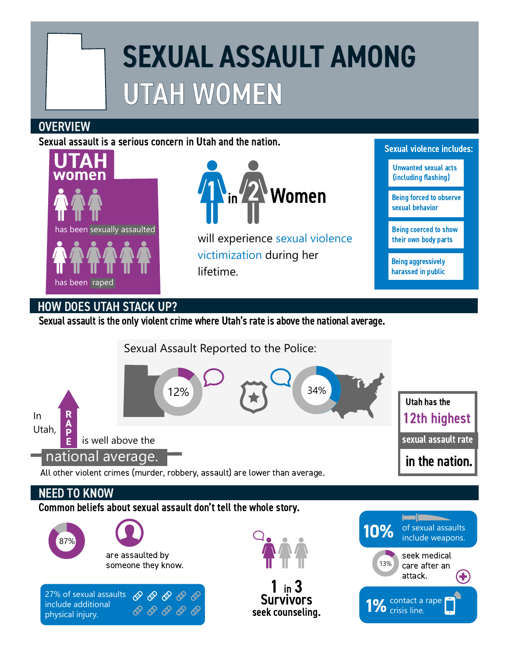## SEXUAL ASSAULT AMONG UTAH WOMEN

## **OVERVIEW**

Sexual assault is a serious concern in Utah and the nation.





will experience sexual violence victimization during her lifetime.

Sexual violence includes:

Unwanted sexual acts (including flashing)

Being forced to observe sexual behavior

Being coerced to show their own body parts

Being aggressively harassed in public

## HOW DOES UTAH STACK UP?

physical injury.

Sexual assault is the only violent crime where Utah's rate is above the national average.